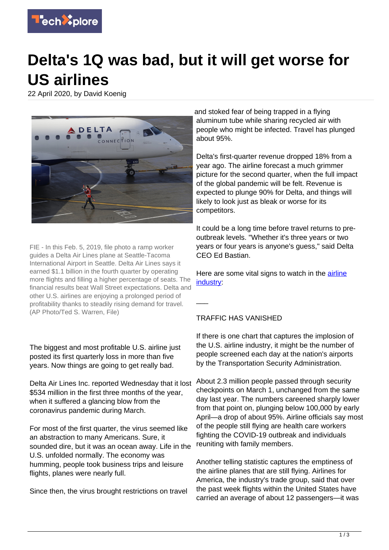

# **Delta's 1Q was bad, but it will get worse for US airlines**

22 April 2020, by David Koenig



FIE - In this Feb. 5, 2019, file photo a ramp worker guides a Delta Air Lines plane at Seattle-Tacoma International Airport in Seattle. Delta Air Lines says it earned \$1.1 billion in the fourth quarter by operating more flights and filling a higher percentage of seats. The financial results beat Wall Street expectations. Delta and other U.S. airlines are enjoying a prolonged period of profitability thanks to steadily rising demand for travel. (AP Photo/Ted S. Warren, File)

The biggest and most profitable U.S. airline just posted its first quarterly loss in more than five years. Now things are going to get really bad.

Delta Air Lines Inc. reported Wednesday that it lost \$534 million in the first three months of the year, when it suffered a glancing blow from the coronavirus pandemic during March.

For most of the first quarter, the virus seemed like an abstraction to many Americans. Sure, it sounded dire, but it was an ocean away. Life in the U.S. unfolded normally. The economy was humming, people took business trips and leisure flights, planes were nearly full.

Since then, the virus brought restrictions on travel

and stoked fear of being trapped in a flying aluminum tube while sharing recycled air with people who might be infected. Travel has plunged about 95%.

Delta's first-quarter revenue dropped 18% from a year ago. The airline forecast a much grimmer picture for the second quarter, when the full impact of the global pandemic will be felt. Revenue is expected to plunge 90% for Delta, and things will likely to look just as bleak or worse for its competitors.

It could be a long time before travel returns to preoutbreak levels. "Whether it's three years or two years or four years is anyone's guess," said Delta CEO Ed Bastian.

Here are some vital signs to watch in the [airline](https://techxplore.com/tags/airline+industry/) [industry:](https://techxplore.com/tags/airline+industry/)

#### TRAFFIC HAS VANISHED

 $\overline{\phantom{a}}$ 

If there is one chart that captures the implosion of the U.S. airline industry, it might be the number of people screened each day at the nation's airports by the Transportation Security Administration.

About 2.3 million people passed through security checkpoints on March 1, unchanged from the same day last year. The numbers careened sharply lower from that point on, plunging below 100,000 by early April—a drop of about 95%. Airline officials say most of the people still flying are health care workers fighting the COVID-19 outbreak and individuals reuniting with family members.

Another telling statistic captures the emptiness of the airline planes that are still flying. Airlines for America, the industry's trade group, said that over the past week flights within the United States have carried an average of about 12 passengers—it was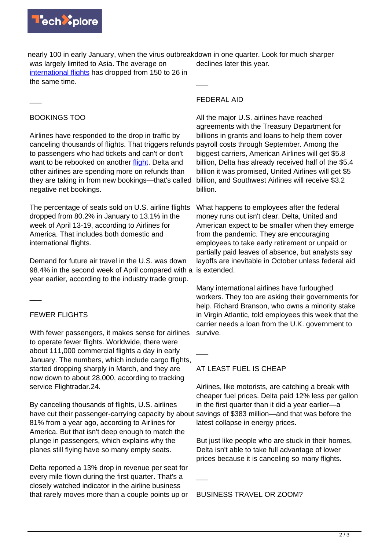

nearly 100 in early January, when the virus outbreak down in one quarter. Look for much sharper was largely limited to Asia. The average on [international flights](https://techxplore.com/tags/international+flights/) has dropped from 150 to 26 in declines later this year.

the same time.

### FEDERAL AID

 $\overline{\phantom{a}}$ 

## BOOKINGS TOO

 $\overline{\phantom{a}}$ 

Airlines have responded to the drop in traffic by canceling thousands of flights. That triggers refunds payroll costs through September. Among the to passengers who had tickets and can't or don't want to be rebooked on another [flight.](https://techxplore.com/tags/flight/) Delta and other airlines are spending more on refunds than they are taking in from new bookings—that's called negative net bookings.

The percentage of seats sold on U.S. airline flights dropped from 80.2% in January to 13.1% in the week of April 13-19, according to Airlines for America. That includes both domestic and international flights.

Demand for future air travel in the U.S. was down 98.4% in the second week of April compared with a is extended. year earlier, according to the industry trade group.

 $\overline{\phantom{a}}$ 

# FEWER FLIGHTS

With fewer passengers, it makes sense for airlines to operate fewer flights. Worldwide, there were about 111,000 commercial flights a day in early January. The numbers, which include cargo flights, started dropping sharply in March, and they are now down to about 28,000, according to tracking service Flightradar.24.

By canceling thousands of flights, U.S. airlines have cut their passenger-carrying capacity by about 81% from a year ago, according to Airlines for America. But that isn't deep enough to match the plunge in passengers, which explains why the planes still flying have so many empty seats.

Delta reported a 13% drop in revenue per seat for every mile flown during the first quarter. That's a closely watched indicator in the airline business that rarely moves more than a couple points up or

All the major U.S. airlines have reached agreements with the Treasury Department for billions in grants and loans to help them cover biggest carriers, American Airlines will get \$5.8 billion, Delta has already received half of the \$5.4 billion it was promised, United Airlines will get \$5 billion, and Southwest Airlines will receive \$3.2 billion.

What happens to employees after the federal money runs out isn't clear. Delta, United and American expect to be smaller when they emerge from the pandemic. They are encouraging employees to take early retirement or unpaid or partially paid leaves of absence, but analysts say layoffs are inevitable in October unless federal aid

Many international airlines have furloughed workers. They too are asking their governments for help. Richard Branson, who owns a minority stake in Virgin Atlantic, told employees this week that the carrier needs a loan from the U.K. government to survive.

# AT LEAST FUEL IS CHEAP

 $\overline{\phantom{a}}$ 

 $\overline{\phantom{a}}$ 

Airlines, like motorists, are catching a break with cheaper fuel prices. Delta paid 12% less per gallon in the first quarter than it did a year earlier—a savings of \$383 million—and that was before the latest collapse in energy prices.

But just like people who are stuck in their homes, Delta isn't able to take full advantage of lower prices because it is canceling so many flights.

BUSINESS TRAVEL OR ZOOM?